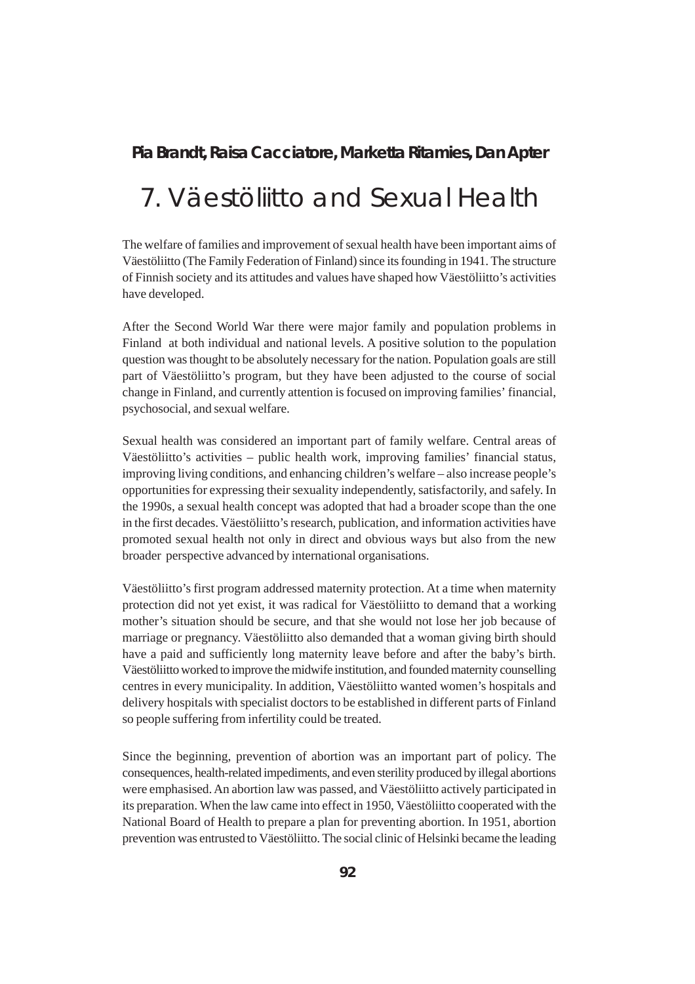# **Pia Brandt, Raisa Cacciatore, Marketta Ritamies, Dan Apter**

# 7. Väestöliitto and Sexual Health

The welfare of families and improvement of sexual health have been important aims of Väestöliitto (The Family Federation of Finland) since its founding in 1941. The structure of Finnish society and its attitudes and values have shaped how Väestöliitto's activities have developed.

After the Second World War there were major family and population problems in Finland at both individual and national levels. A positive solution to the population question was thought to be absolutely necessary for the nation. Population goals are still part of Väestöliitto's program, but they have been adjusted to the course of social change in Finland, and currently attention is focused on improving families' financial, psychosocial, and sexual welfare.

Sexual health was considered an important part of family welfare. Central areas of Väestöliitto's activities – public health work, improving families' financial status, improving living conditions, and enhancing children's welfare – also increase people's opportunities for expressing their sexuality independently, satisfactorily, and safely. In the 1990s, a sexual health concept was adopted that had a broader scope than the one in the first decades. Väestöliitto's research, publication, and information activities have promoted sexual health not only in direct and obvious ways but also from the new broader perspective advanced by international organisations.

Väestöliitto's first program addressed maternity protection. At a time when maternity protection did not yet exist, it was radical for Väestöliitto to demand that a working mother's situation should be secure, and that she would not lose her job because of marriage or pregnancy. Väestöliitto also demanded that a woman giving birth should have a paid and sufficiently long maternity leave before and after the baby's birth. Väestöliitto worked to improve the midwife institution, and founded maternity counselling centres in every municipality. In addition, Väestöliitto wanted women's hospitals and delivery hospitals with specialist doctors to be established in different parts of Finland so people suffering from infertility could be treated.

Since the beginning, prevention of abortion was an important part of policy. The consequences, health-related impediments, and even sterility produced by illegal abortions were emphasised. An abortion law was passed, and Väestöliitto actively participated in its preparation. When the law came into effect in 1950, Väestöliitto cooperated with the National Board of Health to prepare a plan for preventing abortion. In 1951, abortion prevention was entrusted to Väestöliitto. The social clinic of Helsinki became the leading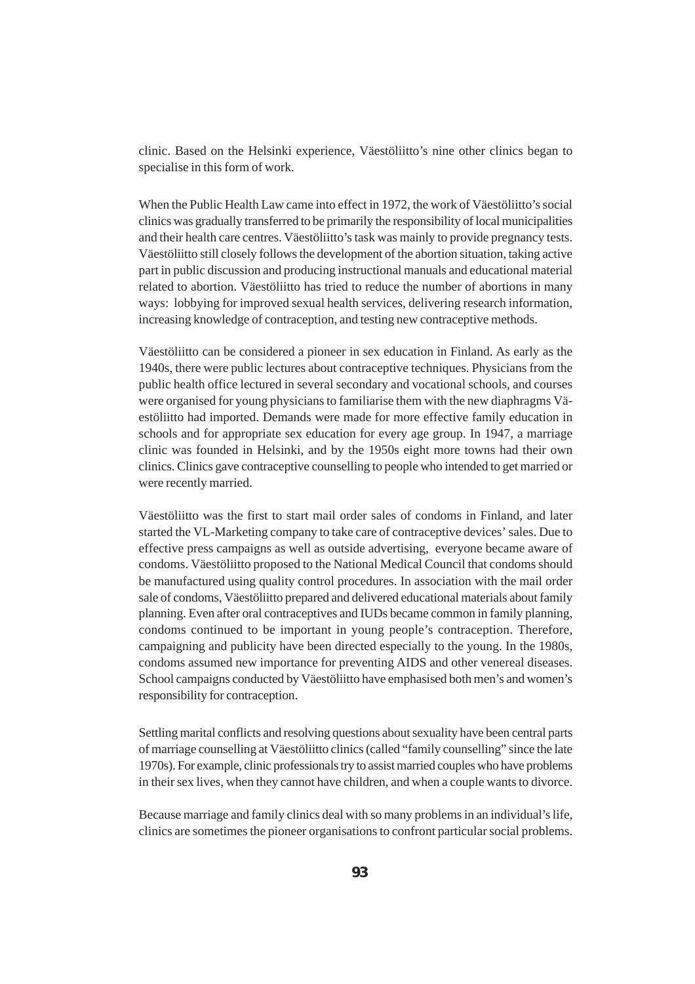clinic. Based on the Helsinki experience, Väestöliitto's nine other clinics began to specialise in this form of work.

When the Public Health Law came into effect in 1972, the work of Väestöliitto's social clinics was gradually transferred to be primarily the responsibility of local municipalities and their health care centres. Väestöliitto's task was mainly to provide pregnancy tests. Väestöliitto still closely follows the development of the abortion situation, taking active part in public discussion and producing instructional manuals and educational material related to abortion. Väestöliitto has tried to reduce the number of abortions in many ways: lobbying for improved sexual health services, delivering research information, increasing knowledge of contraception, and testing new contraceptive methods.

Väestöliitto can be considered a pioneer in sex education in Finland. As early as the 1940s, there were public lectures about contraceptive techniques. Physicians from the public health office lectured in several secondary and vocational schools, and courses were organised for young physicians to familiarise them with the new diaphragms Väestöliitto had imported. Demands were made for more effective family education in schools and for appropriate sex education for every age group. In 1947, a marriage clinic was founded in Helsinki, and by the 1950s eight more towns had their own clinics. Clinics gave contraceptive counselling to people who intended to get married or were recently married.

Väestöliitto was the first to start mail order sales of condoms in Finland, and later started the VL-Marketing company to take care of contraceptive devices' sales. Due to effective press campaigns as well as outside advertising, everyone became aware of condoms. Väestöliitto proposed to the National Medical Council that condoms should be manufactured using quality control procedures. In association with the mail order sale of condoms, Väestöliitto prepared and delivered educational materials about family planning. Even after oral contraceptives and IUDs became common in family planning, condoms continued to be important in young people's contraception. Therefore, campaigning and publicity have been directed especially to the young. In the 1980s, condoms assumed new importance for preventing AIDS and other venereal diseases. School campaigns conducted by Väestöliitto have emphasised both men's and women's responsibility for contraception.

Settling marital conflicts and resolving questions about sexuality have been central parts of marriage counselling at Väestöliitto clinics (called "family counselling" since the late 1970s). For example, clinic professionals try to assist married couples who have problems in their sex lives, when they cannot have children, and when a couple wants to divorce.

Because marriage and family clinics deal with so many problems in an individual's life, clinics are sometimes the pioneer organisations to confront particular social problems.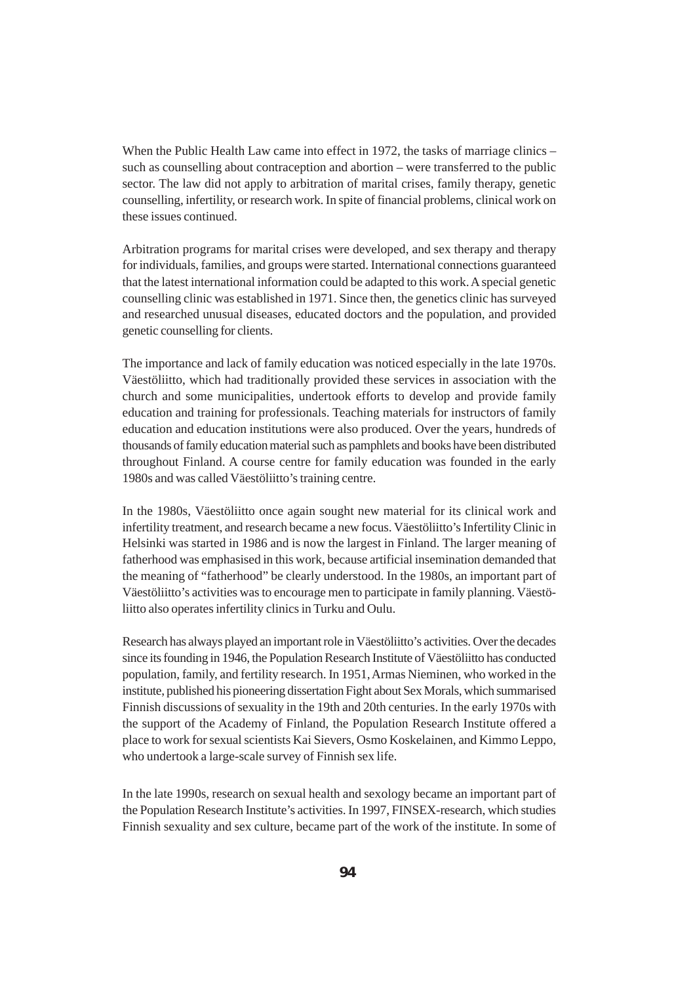When the Public Health Law came into effect in 1972, the tasks of marriage clinics – such as counselling about contraception and abortion – were transferred to the public sector. The law did not apply to arbitration of marital crises, family therapy, genetic counselling, infertility, or research work. In spite of financial problems, clinical work on these issues continued.

Arbitration programs for marital crises were developed, and sex therapy and therapy for individuals, families, and groups were started. International connections guaranteed that the latest international information could be adapted to this work. A special genetic counselling clinic was established in 1971. Since then, the genetics clinic has surveyed and researched unusual diseases, educated doctors and the population, and provided genetic counselling for clients.

The importance and lack of family education was noticed especially in the late 1970s. Väestöliitto, which had traditionally provided these services in association with the church and some municipalities, undertook efforts to develop and provide family education and training for professionals. Teaching materials for instructors of family education and education institutions were also produced. Over the years, hundreds of thousands of family education material such as pamphlets and books have been distributed throughout Finland. A course centre for family education was founded in the early 1980s and was called Väestöliitto's training centre.

In the 1980s, Väestöliitto once again sought new material for its clinical work and infertility treatment, and research became a new focus. Väestöliitto's Infertility Clinic in Helsinki was started in 1986 and is now the largest in Finland. The larger meaning of fatherhood was emphasised in this work, because artificial insemination demanded that the meaning of "fatherhood" be clearly understood. In the 1980s, an important part of Väestöliitto's activities was to encourage men to participate in family planning. Väestöliitto also operates infertility clinics in Turku and Oulu.

Research has always played an important role in Väestöliitto's activities. Over the decades since its founding in 1946, the Population Research Institute of Väestöliitto has conducted population, family, and fertility research. In 1951, Armas Nieminen, who worked in the institute, published his pioneering dissertation Fight about Sex Morals, which summarised Finnish discussions of sexuality in the 19th and 20th centuries. In the early 1970s with the support of the Academy of Finland, the Population Research Institute offered a place to work for sexual scientists Kai Sievers, Osmo Koskelainen, and Kimmo Leppo, who undertook a large-scale survey of Finnish sex life.

In the late 1990s, research on sexual health and sexology became an important part of the Population Research Institute's activities. In 1997, FINSEX-research, which studies Finnish sexuality and sex culture, became part of the work of the institute. In some of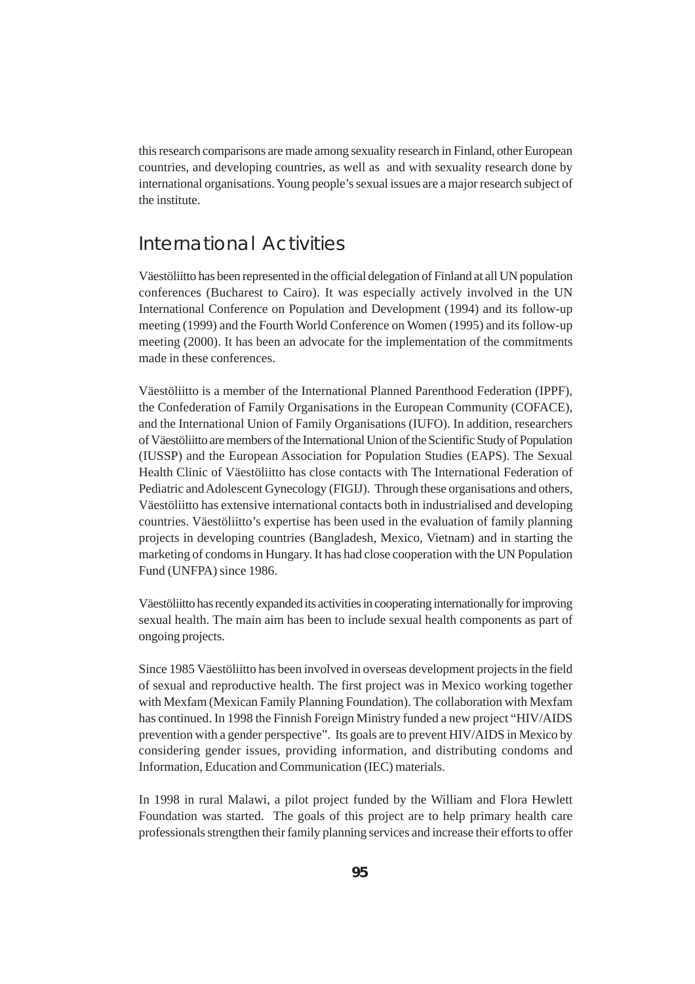this research comparisons are made among sexuality research in Finland, other European countries, and developing countries, as well as and with sexuality research done by international organisations. Young people's sexual issues are a major research subject of the institute.

# International Activities

Väestöliitto has been represented in the official delegation of Finland at all UN population conferences (Bucharest to Cairo). It was especially actively involved in the UN International Conference on Population and Development (1994) and its follow-up meeting (1999) and the Fourth World Conference on Women (1995) and its follow-up meeting (2000). It has been an advocate for the implementation of the commitments made in these conferences.

Väestöliitto is a member of the International Planned Parenthood Federation (IPPF), the Confederation of Family Organisations in the European Community (COFACE), and the International Union of Family Organisations (IUFO). In addition, researchers of Väestöliitto are members of the International Union of the Scientific Study of Population (IUSSP) and the European Association for Population Studies (EAPS). The Sexual Health Clinic of Väestöliitto has close contacts with The International Federation of Pediatric and Adolescent Gynecology (FIGIJ). Through these organisations and others, Väestöliitto has extensive international contacts both in industrialised and developing countries. Väestöliitto's expertise has been used in the evaluation of family planning projects in developing countries (Bangladesh, Mexico, Vietnam) and in starting the marketing of condoms in Hungary. It has had close cooperation with the UN Population Fund (UNFPA) since 1986.

Väestöliitto has recently expanded its activities in cooperating internationally for improving sexual health. The main aim has been to include sexual health components as part of ongoing projects.

Since 1985 Väestöliitto has been involved in overseas development projects in the field of sexual and reproductive health. The first project was in Mexico working together with Mexfam (Mexican Family Planning Foundation). The collaboration with Mexfam has continued. In 1998 the Finnish Foreign Ministry funded a new project "HIV/AIDS prevention with a gender perspective". Its goals are to prevent HIV/AIDS in Mexico by considering gender issues, providing information, and distributing condoms and Information, Education and Communication (IEC) materials.

In 1998 in rural Malawi, a pilot project funded by the William and Flora Hewlett Foundation was started. The goals of this project are to help primary health care professionals strengthen their family planning services and increase their efforts to offer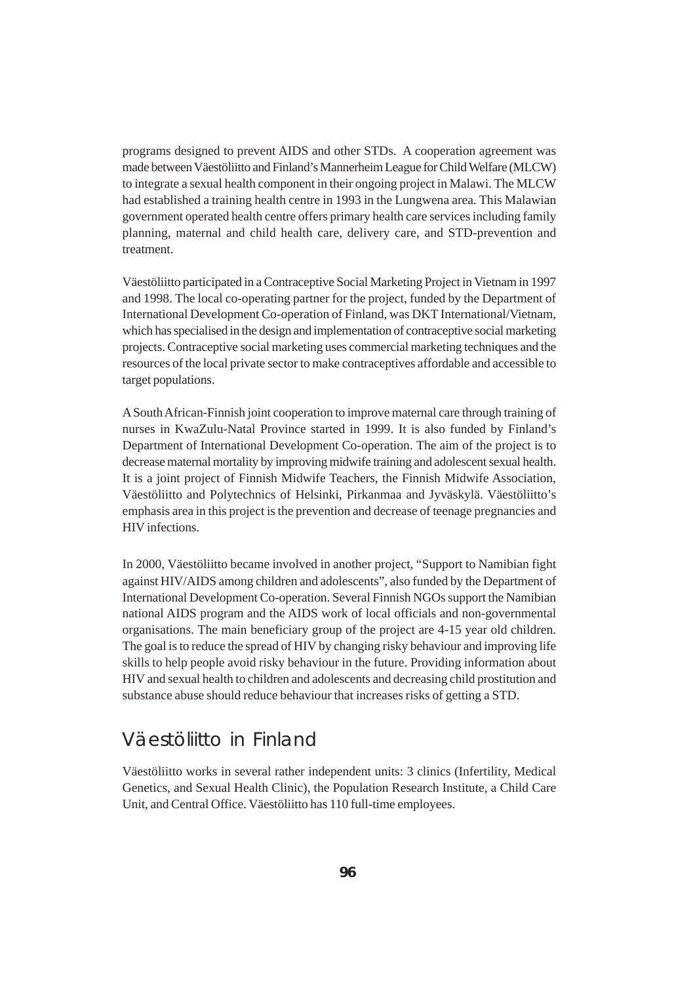programs designed to prevent AIDS and other STDs. A cooperation agreement was made between Väestöliitto and Finland's Mannerheim League for Child Welfare (MLCW) to integrate a sexual health component in their ongoing project in Malawi. The MLCW had established a training health centre in 1993 in the Lungwena area. This Malawian government operated health centre offers primary health care services including family planning, maternal and child health care, delivery care, and STD-prevention and treatment.

Väestöliitto participated in a Contraceptive Social Marketing Project in Vietnam in 1997 and 1998. The local co-operating partner for the project, funded by the Department of International Development Co-operation of Finland, was DKT International/Vietnam, which has specialised in the design and implementation of contraceptive social marketing projects. Contraceptive social marketing uses commercial marketing techniques and the resources of the local private sector to make contraceptives affordable and accessible to target populations.

A South African-Finnish joint cooperation to improve maternal care through training of nurses in KwaZulu-Natal Province started in 1999. It is also funded by Finland's Department of International Development Co-operation. The aim of the project is to decrease maternal mortality by improving midwife training and adolescent sexual health. It is a joint project of Finnish Midwife Teachers, the Finnish Midwife Association, Väestöliitto and Polytechnics of Helsinki, Pirkanmaa and Jyväskylä. Väestöliitto's emphasis area in this project is the prevention and decrease of teenage pregnancies and HIV infections.

In 2000, Väestöliitto became involved in another project, "Support to Namibian fight against HIV/AIDS among children and adolescents", also funded by the Department of International Development Co-operation. Several Finnish NGOs support the Namibian national AIDS program and the AIDS work of local officials and non-governmental organisations. The main beneficiary group of the project are 4-15 year old children. The goal is to reduce the spread of HIV by changing risky behaviour and improving life skills to help people avoid risky behaviour in the future. Providing information about HIV and sexual health to children and adolescents and decreasing child prostitution and substance abuse should reduce behaviour that increases risks of getting a STD.

# Väestöliitto in Finland

Väestöliitto works in several rather independent units: 3 clinics (Infertility, Medical Genetics, and Sexual Health Clinic), the Population Research Institute, a Child Care Unit, and Central Office. Väestöliitto has 110 full-time employees.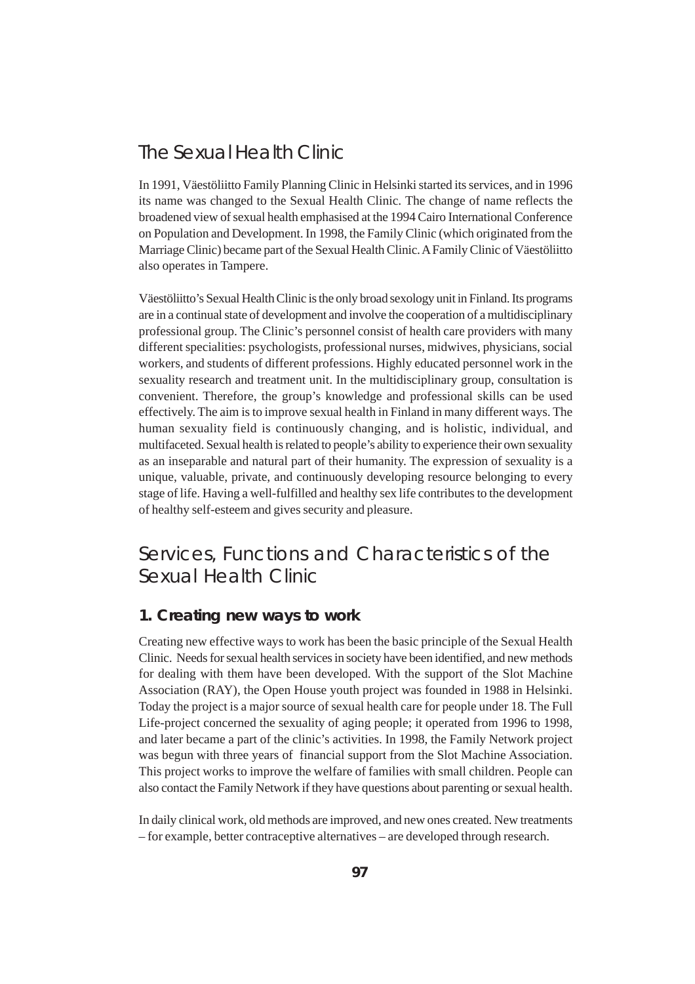# The Sexual Health Clinic

In 1991, Väestöliitto Family Planning Clinic in Helsinki started its services, and in 1996 its name was changed to the Sexual Health Clinic. The change of name reflects the broadened view of sexual health emphasised at the 1994 Cairo International Conference on Population and Development. In 1998, the Family Clinic (which originated from the Marriage Clinic) became part of the Sexual Health Clinic. A Family Clinic of Väestöliitto also operates in Tampere.

Väestöliitto's Sexual Health Clinic is the only broad sexology unit in Finland. Its programs are in a continual state of development and involve the cooperation of a multidisciplinary professional group. The Clinic's personnel consist of health care providers with many different specialities: psychologists, professional nurses, midwives, physicians, social workers, and students of different professions. Highly educated personnel work in the sexuality research and treatment unit. In the multidisciplinary group, consultation is convenient. Therefore, the group's knowledge and professional skills can be used effectively. The aim is to improve sexual health in Finland in many different ways. The human sexuality field is continuously changing, and is holistic, individual, and multifaceted. Sexual health is related to people's ability to experience their own sexuality as an inseparable and natural part of their humanity. The expression of sexuality is a unique, valuable, private, and continuously developing resource belonging to every stage of life. Having a well-fulfilled and healthy sex life contributes to the development of healthy self-esteem and gives security and pleasure.

# Services, Functions and Characteristics of the Sexual Health Clinic

# **1. Creating new ways to work**

Creating new effective ways to work has been the basic principle of the Sexual Health Clinic. Needs for sexual health services in society have been identified, and new methods for dealing with them have been developed. With the support of the Slot Machine Association (RAY), the Open House youth project was founded in 1988 in Helsinki. Today the project is a major source of sexual health care for people under 18. The Full Life-project concerned the sexuality of aging people; it operated from 1996 to 1998, and later became a part of the clinic's activities. In 1998, the Family Network project was begun with three years of financial support from the Slot Machine Association. This project works to improve the welfare of families with small children. People can also contact the Family Network if they have questions about parenting or sexual health.

In daily clinical work, old methods are improved, and new ones created. New treatments – for example, better contraceptive alternatives – are developed through research.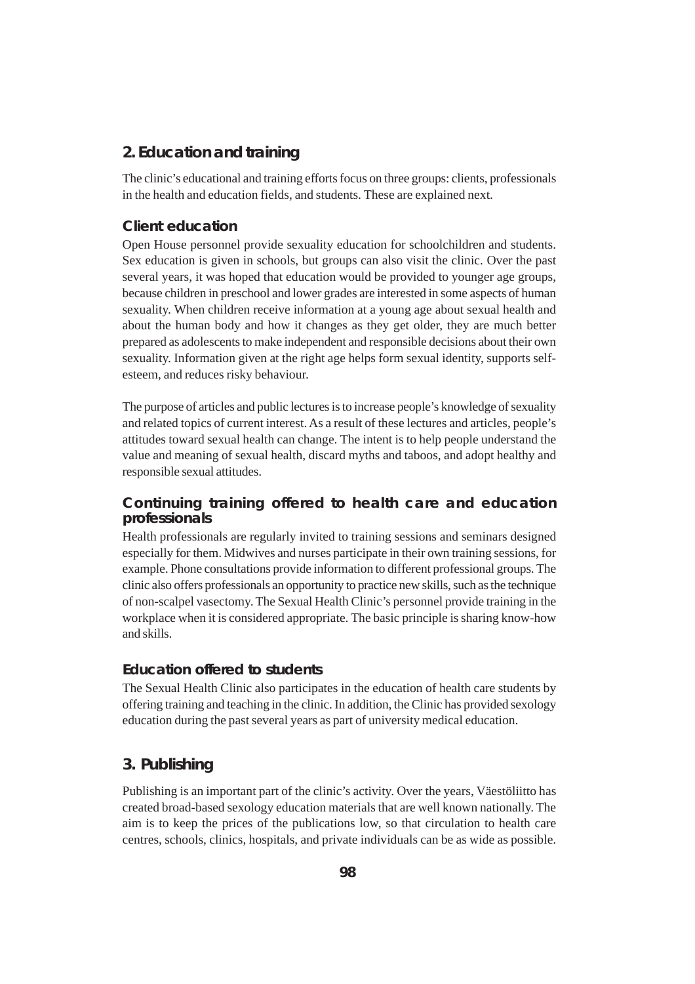# **2. Education and training**

The clinic's educational and training efforts focus on three groups: clients, professionals in the health and education fields, and students. These are explained next.

#### **Client education**

Open House personnel provide sexuality education for schoolchildren and students. Sex education is given in schools, but groups can also visit the clinic. Over the past several years, it was hoped that education would be provided to younger age groups, because children in preschool and lower grades are interested in some aspects of human sexuality. When children receive information at a young age about sexual health and about the human body and how it changes as they get older, they are much better prepared as adolescents to make independent and responsible decisions about their own sexuality. Information given at the right age helps form sexual identity, supports selfesteem, and reduces risky behaviour.

The purpose of articles and public lectures is to increase people's knowledge of sexuality and related topics of current interest. As a result of these lectures and articles, people's attitudes toward sexual health can change. The intent is to help people understand the value and meaning of sexual health, discard myths and taboos, and adopt healthy and responsible sexual attitudes.

### **Continuing training offered to health care and education professionals**

Health professionals are regularly invited to training sessions and seminars designed especially for them. Midwives and nurses participate in their own training sessions, for example. Phone consultations provide information to different professional groups. The clinic also offers professionals an opportunity to practice new skills, such as the technique of non-scalpel vasectomy. The Sexual Health Clinic's personnel provide training in the workplace when it is considered appropriate. The basic principle is sharing know-how and skills.

#### **Education offered to students**

The Sexual Health Clinic also participates in the education of health care students by offering training and teaching in the clinic. In addition, the Clinic has provided sexology education during the past several years as part of university medical education.

# **3. Publishing**

Publishing is an important part of the clinic's activity. Over the years, Väestöliitto has created broad-based sexology education materials that are well known nationally. The aim is to keep the prices of the publications low, so that circulation to health care centres, schools, clinics, hospitals, and private individuals can be as wide as possible.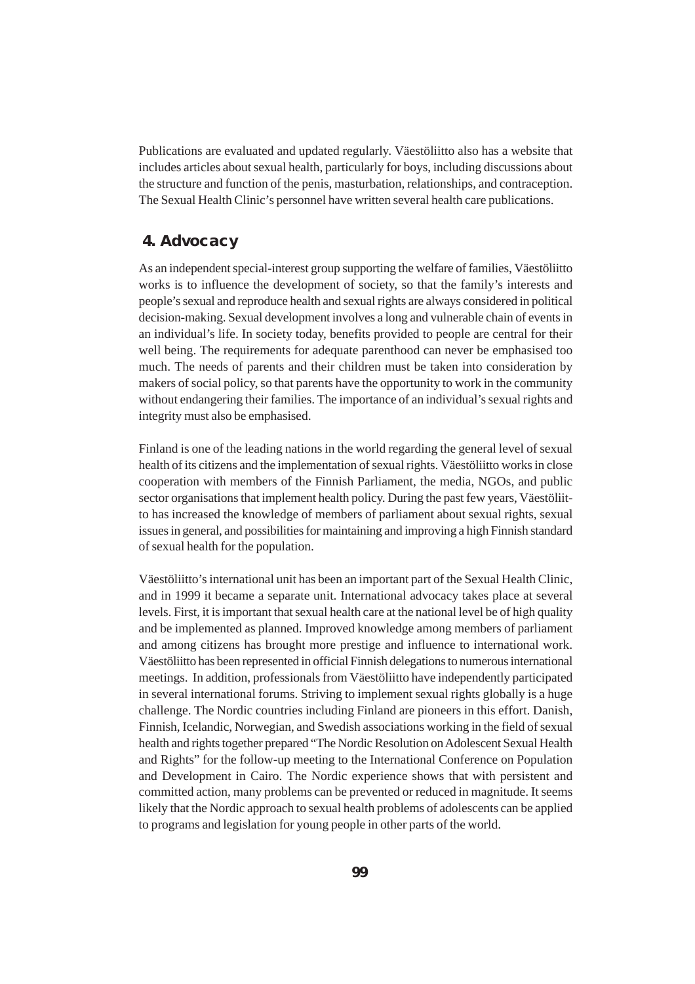Publications are evaluated and updated regularly. Väestöliitto also has a website that includes articles about sexual health, particularly for boys, including discussions about the structure and function of the penis, masturbation, relationships, and contraception. The Sexual Health Clinic's personnel have written several health care publications.

## **4. Advocacy**

As an independent special-interest group supporting the welfare of families, Väestöliitto works is to influence the development of society, so that the family's interests and people's sexual and reproduce health and sexual rights are always considered in political decision-making. Sexual development involves a long and vulnerable chain of events in an individual's life. In society today, benefits provided to people are central for their well being. The requirements for adequate parenthood can never be emphasised too much. The needs of parents and their children must be taken into consideration by makers of social policy, so that parents have the opportunity to work in the community without endangering their families. The importance of an individual's sexual rights and integrity must also be emphasised.

Finland is one of the leading nations in the world regarding the general level of sexual health of its citizens and the implementation of sexual rights. Väestöliitto works in close cooperation with members of the Finnish Parliament, the media, NGOs, and public sector organisations that implement health policy. During the past few years, Väestöliitto has increased the knowledge of members of parliament about sexual rights, sexual issues in general, and possibilities for maintaining and improving a high Finnish standard of sexual health for the population.

Väestöliitto's international unit has been an important part of the Sexual Health Clinic, and in 1999 it became a separate unit. International advocacy takes place at several levels. First, it is important that sexual health care at the national level be of high quality and be implemented as planned. Improved knowledge among members of parliament and among citizens has brought more prestige and influence to international work. Väestöliitto has been represented in official Finnish delegations to numerous international meetings. In addition, professionals from Väestöliitto have independently participated in several international forums. Striving to implement sexual rights globally is a huge challenge. The Nordic countries including Finland are pioneers in this effort. Danish, Finnish, Icelandic, Norwegian, and Swedish associations working in the field of sexual health and rights together prepared "The Nordic Resolution on Adolescent Sexual Health and Rights" for the follow-up meeting to the International Conference on Population and Development in Cairo. The Nordic experience shows that with persistent and committed action, many problems can be prevented or reduced in magnitude. It seems likely that the Nordic approach to sexual health problems of adolescents can be applied to programs and legislation for young people in other parts of the world.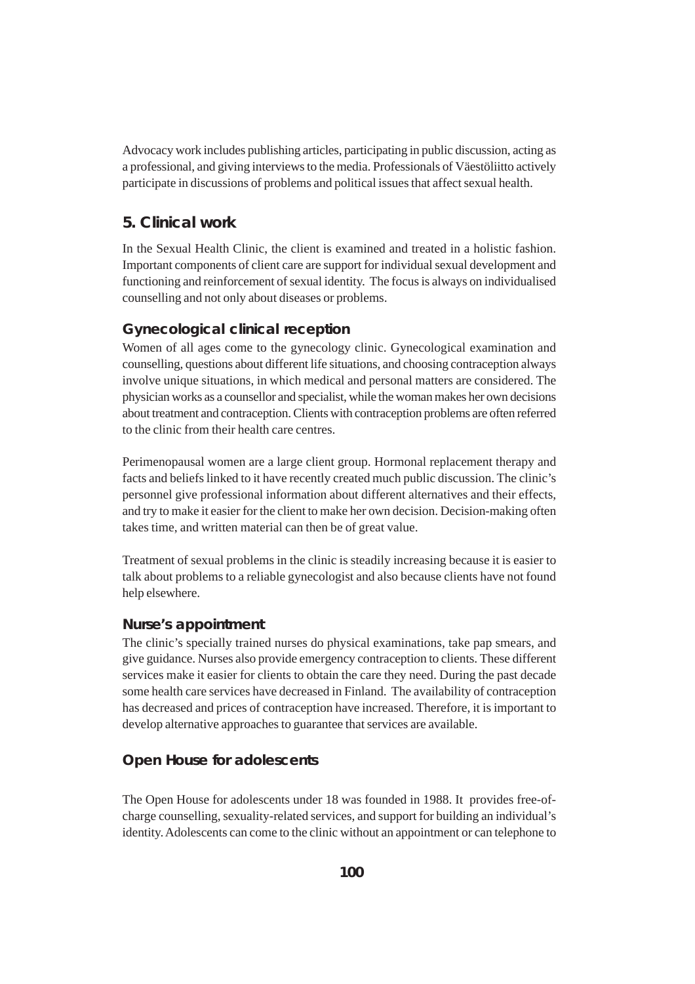Advocacy work includes publishing articles, participating in public discussion, acting as a professional, and giving interviews to the media. Professionals of Väestöliitto actively participate in discussions of problems and political issues that affect sexual health.

# **5. Clinical work**

In the Sexual Health Clinic, the client is examined and treated in a holistic fashion. Important components of client care are support for individual sexual development and functioning and reinforcement of sexual identity. The focus is always on individualised counselling and not only about diseases or problems.

#### **Gynecological clinical reception**

Women of all ages come to the gynecology clinic. Gynecological examination and counselling, questions about different life situations, and choosing contraception always involve unique situations, in which medical and personal matters are considered. The physician works as a counsellor and specialist, while the woman makes her own decisions about treatment and contraception. Clients with contraception problems are often referred to the clinic from their health care centres.

Perimenopausal women are a large client group. Hormonal replacement therapy and facts and beliefs linked to it have recently created much public discussion. The clinic's personnel give professional information about different alternatives and their effects, and try to make it easier for the client to make her own decision. Decision-making often takes time, and written material can then be of great value.

Treatment of sexual problems in the clinic is steadily increasing because it is easier to talk about problems to a reliable gynecologist and also because clients have not found help elsewhere.

# **Nurse's appointment**

The clinic's specially trained nurses do physical examinations, take pap smears, and give guidance. Nurses also provide emergency contraception to clients. These different services make it easier for clients to obtain the care they need. During the past decade some health care services have decreased in Finland. The availability of contraception has decreased and prices of contraception have increased. Therefore, it is important to develop alternative approaches to guarantee that services are available.

#### **Open House for adolescents**

The Open House for adolescents under 18 was founded in 1988. It provides free-ofcharge counselling, sexuality-related services, and support for building an individual's identity. Adolescents can come to the clinic without an appointment or can telephone to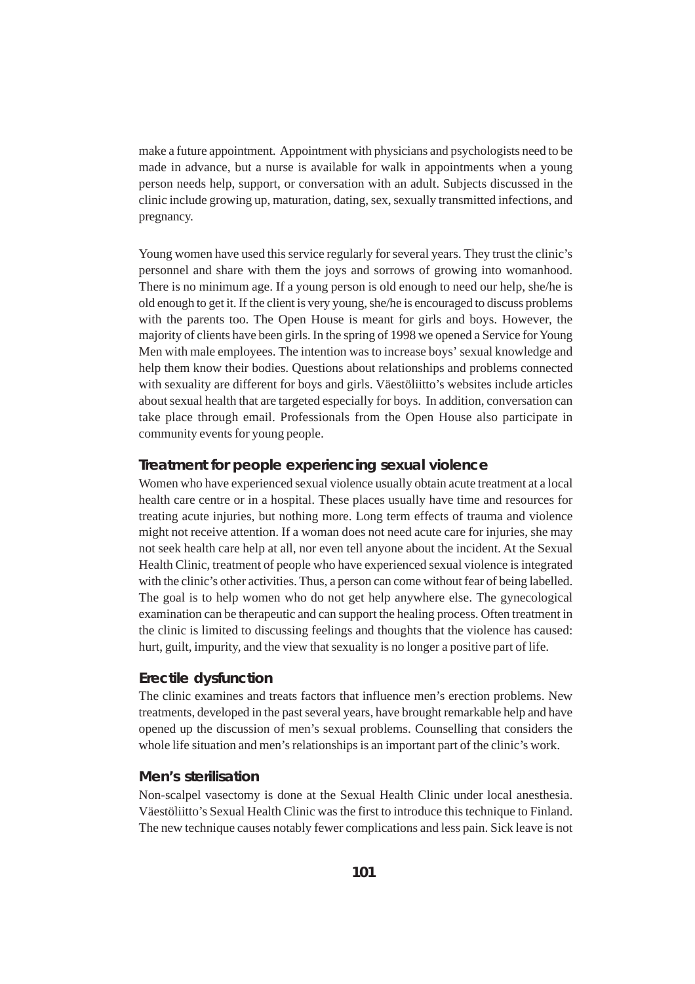make a future appointment. Appointment with physicians and psychologists need to be made in advance, but a nurse is available for walk in appointments when a young person needs help, support, or conversation with an adult. Subjects discussed in the clinic include growing up, maturation, dating, sex, sexually transmitted infections, and pregnancy.

Young women have used this service regularly for several years. They trust the clinic's personnel and share with them the joys and sorrows of growing into womanhood. There is no minimum age. If a young person is old enough to need our help, she/he is old enough to get it. If the client is very young, she/he is encouraged to discuss problems with the parents too. The Open House is meant for girls and boys. However, the majority of clients have been girls. In the spring of 1998 we opened a Service for Young Men with male employees. The intention was to increase boys' sexual knowledge and help them know their bodies. Questions about relationships and problems connected with sexuality are different for boys and girls. Väestöliitto's websites include articles about sexual health that are targeted especially for boys. In addition, conversation can take place through email. Professionals from the Open House also participate in community events for young people.

#### **Treatment for people experiencing sexual violence**

Women who have experienced sexual violence usually obtain acute treatment at a local health care centre or in a hospital. These places usually have time and resources for treating acute injuries, but nothing more. Long term effects of trauma and violence might not receive attention. If a woman does not need acute care for injuries, she may not seek health care help at all, nor even tell anyone about the incident. At the Sexual Health Clinic, treatment of people who have experienced sexual violence is integrated with the clinic's other activities. Thus, a person can come without fear of being labelled. The goal is to help women who do not get help anywhere else. The gynecological examination can be therapeutic and can support the healing process. Often treatment in the clinic is limited to discussing feelings and thoughts that the violence has caused: hurt, guilt, impurity, and the view that sexuality is no longer a positive part of life.

#### **Erectile dysfunction**

The clinic examines and treats factors that influence men's erection problems. New treatments, developed in the past several years, have brought remarkable help and have opened up the discussion of men's sexual problems. Counselling that considers the whole life situation and men's relationships is an important part of the clinic's work.

#### **Men's sterilisation**

Non-scalpel vasectomy is done at the Sexual Health Clinic under local anesthesia. Väestöliitto's Sexual Health Clinic was the first to introduce this technique to Finland. The new technique causes notably fewer complications and less pain. Sick leave is not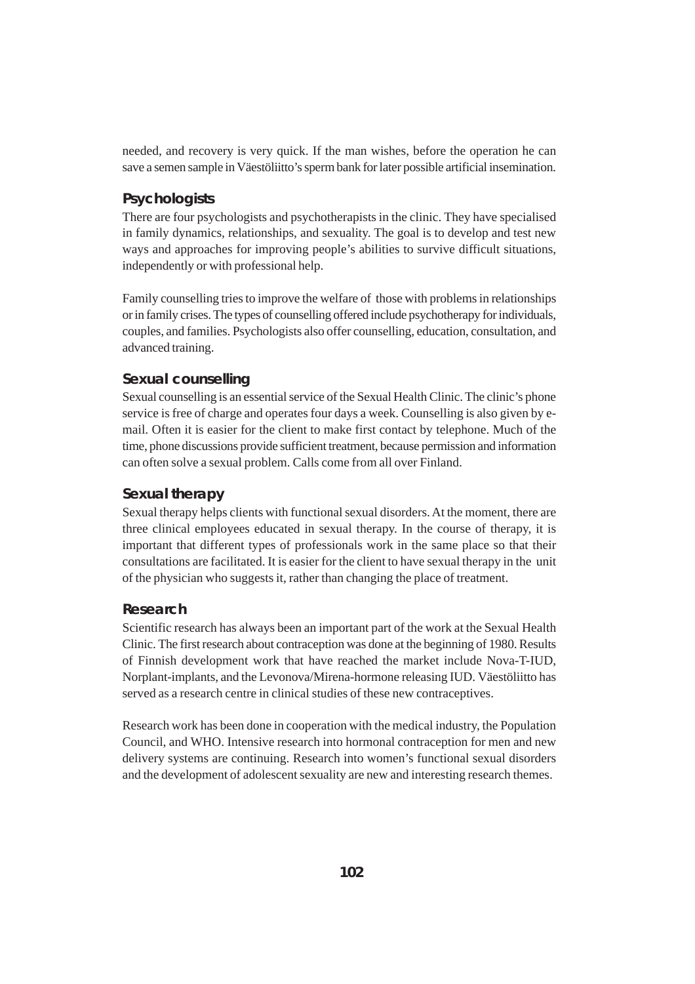needed, and recovery is very quick. If the man wishes, before the operation he can save a semen sample in Väestöliitto's sperm bank for later possible artificial insemination.

# **Psychologists**

There are four psychologists and psychotherapists in the clinic. They have specialised in family dynamics, relationships, and sexuality. The goal is to develop and test new ways and approaches for improving people's abilities to survive difficult situations, independently or with professional help.

Family counselling tries to improve the welfare of those with problems in relationships or in family crises. The types of counselling offered include psychotherapy for individuals, couples, and families. Psychologists also offer counselling, education, consultation, and advanced training.

#### **Sexual counselling**

Sexual counselling is an essential service of the Sexual Health Clinic. The clinic's phone service is free of charge and operates four days a week. Counselling is also given by email. Often it is easier for the client to make first contact by telephone. Much of the time, phone discussions provide sufficient treatment, because permission and information can often solve a sexual problem. Calls come from all over Finland.

### **Sexual therapy**

Sexual therapy helps clients with functional sexual disorders. At the moment, there are three clinical employees educated in sexual therapy. In the course of therapy, it is important that different types of professionals work in the same place so that their consultations are facilitated. It is easier for the client to have sexual therapy in the unit of the physician who suggests it, rather than changing the place of treatment.

#### **Research**

Scientific research has always been an important part of the work at the Sexual Health Clinic. The first research about contraception was done at the beginning of 1980. Results of Finnish development work that have reached the market include Nova-T-IUD, Norplant-implants, and the Levonova/Mirena-hormone releasing IUD. Väestöliitto has served as a research centre in clinical studies of these new contraceptives.

Research work has been done in cooperation with the medical industry, the Population Council, and WHO. Intensive research into hormonal contraception for men and new delivery systems are continuing. Research into women's functional sexual disorders and the development of adolescent sexuality are new and interesting research themes.